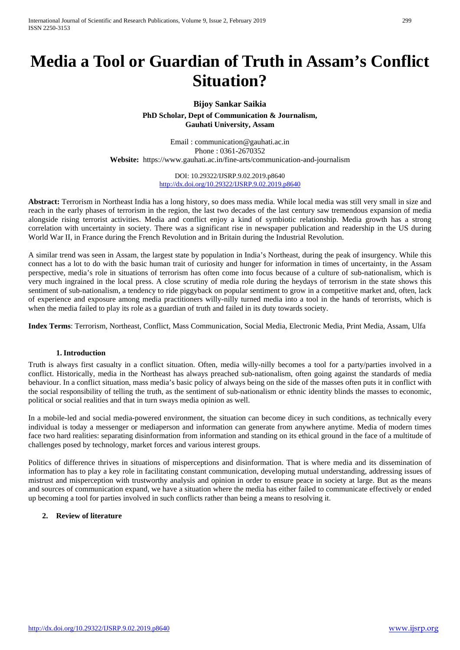International Journal of Scientific and Research Publications, Volume 9, Issue 2, February 2019 299 ISSN 2250-3153

# **Media a Tool or Guardian of Truth in Assam's Conflict Situation?**

#### **Bijoy Sankar Saikia**

**PhD Scholar, Dept of Communication & Journalism, Gauhati University, Assam**

Email : communication@gauhati.ac.in Phone : 0361-2670352 **Website:** https://www.gauhati.ac.in/fine-arts/communication-and-journalism

> DOI: 10.29322/IJSRP.9.02.2019.p8640 <http://dx.doi.org/10.29322/IJSRP.9.02.2019.p8640>

**Abstract:** Terrorism in Northeast India has a long history, so does mass media. While local media was still very small in size and reach in the early phases of terrorism in the region, the last two decades of the last century saw tremendous expansion of media alongside rising terrorist activities. Media and conflict enjoy a kind of symbiotic relationship. Media growth has a strong correlation with uncertainty in society. There was a significant rise in newspaper publication and readership in the US during World War II, in France during the French Revolution and in Britain during the Industrial Revolution.

A similar trend was seen in Assam, the largest state by population in India's Northeast, during the peak of insurgency. While this connect has a lot to do with the basic human trait of curiosity and hunger for information in times of uncertainty, in the Assam perspective, media's role in situations of terrorism has often come into focus because of a culture of sub-nationalism, which is very much ingrained in the local press. A close scrutiny of media role during the heydays of terrorism in the state shows this sentiment of sub-nationalism, a tendency to ride piggyback on popular sentiment to grow in a competitive market and, often, lack of experience and exposure among media practitioners willy-nilly turned media into a tool in the hands of terorrists, which is when the media failed to play its role as a guardian of truth and failed in its duty towards society.

**Index Terms**: Terrorism, Northeast, Conflict, Mass Communication, Social Media, Electronic Media, Print Media, Assam, Ulfa

#### **1. Introduction**

Truth is always first casualty in a conflict situation. Often, media willy-nilly becomes a tool for a party/parties involved in a conflict. Historically, media in the Northeast has always preached sub-nationalism, often going against the standards of media behaviour. In a conflict situation, mass media's basic policy of always being on the side of the masses often puts it in conflict with the social responsibility of telling the truth, as the sentiment of sub-nationalism or ethnic identity blinds the masses to economic, political or social realities and that in turn sways media opinion as well.

In a mobile-led and social media-powered environment, the situation can become dicey in such conditions, as technically every individual is today a messenger or mediaperson and information can generate from anywhere anytime. Media of modern times face two hard realities: separating disinformation from information and standing on its ethical ground in the face of a multitude of challenges posed by technology, market forces and various interest groups.

Politics of difference thrives in situations of misperceptions and disinformation. That is where media and its dissemination of information has to play a key role in facilitating constant communication, developing mutual understanding, addressing issues of mistrust and misperception with trustworthy analysis and opinion in order to ensure peace in society at large. But as the means and sources of communication expand, we have a situation where the media has either failed to communicate effectively or ended up becoming a tool for parties involved in such conflicts rather than being a means to resolving it.

#### **2. Review of literature**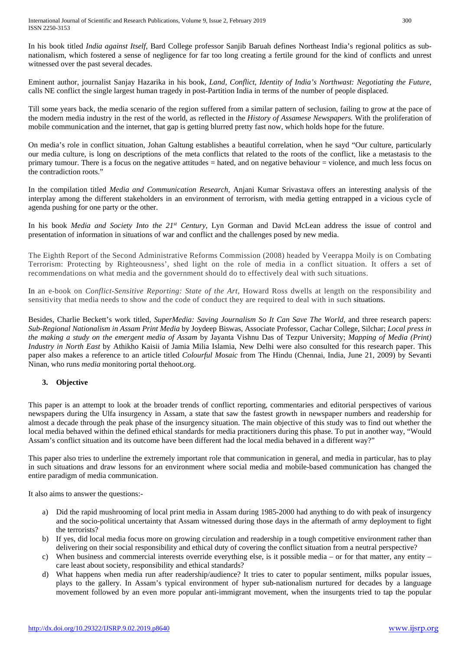In his book titled *India against Itself*, Bard College professor Sanjib Baruah defines Northeast India's regional politics as subnationalism, which fostered a sense of negligence for far too long creating a fertile ground for the kind of conflicts and unrest witnessed over the past several decades.

Eminent author, journalist Sanjay Hazarika in his book, *Land, Conflict, Identity of India's Northwast: Negotiating the Future*, calls NE conflict the single largest human tragedy in post-Partition India in terms of the number of people displaced.

Till some years back, the media scenario of the region suffered from a similar pattern of seclusion, failing to grow at the pace of the modern media industry in the rest of the world, as reflected in the *History of Assamese Newspapers.* With the proliferation of mobile communication and the internet, that gap is getting blurred pretty fast now, which holds hope for the future.

On media's role in conflict situation, Johan Galtung establishes a beautiful correlation, when he sayd "Our culture, particularly our media culture, is long on descriptions of the meta conflicts that related to the roots of the conflict, like a metastasis to the primary tumour. There is a focus on the negative attitudes = hated, and on negative behaviour = violence, and much less focus on the contradiction roots."

In the compilation titled *Media and Communication Research,* Anjani Kumar Srivastava offers an interesting analysis of the interplay among the different stakeholders in an environment of terrorism, with media getting entrapped in a vicious cycle of agenda pushing for one party or the other.

In his book *Media and Society Into the 21st Century,* Lyn Gorman and David McLean address the issue of control and presentation of information in situations of war and conflict and the challenges posed by new media.

The Eighth Report of the Second Administrative Reforms Commission (2008) headed by Veerappa Moily is on Combating Terrorism: Protecting by Righteousness', shed light on the role of media in a conflict situation. It offers a set of recommendations on what media and the government should do to effectively deal with such situations.

In an e-book on *Conflict-Sensitive Reporting: State of the Art,* Howard Ross dwells at length on the responsibility and sensitivity that media needs to show and the code of conduct they are required to deal with in such situations.

Besides, Charlie Beckett's work titled, *SuperMedia: Saving Journalism So It Can Save The World,* and three research papers: *Sub-Regional Nationalism in Assam Print Media* by Joydeep Biswas, Associate Professor, Cachar College, Silchar; *Local press in the making a study on the emergent media of Assam* by Jayanta Vishnu Das of Tezpur University; *Mapping of Media (Print) Industry in North East* by Athikho Kaisii of Jamia Milia Islamia, New Delhi were also consulted for this research paper. This paper also makes a reference to an article titled *Colourful Mosaic* from The Hindu (Chennai, India, June 21, 2009) by Sevanti Ninan, who runs *media* monitoring portal thehoot.org.

## **3. Objective**

This paper is an attempt to look at the broader trends of conflict reporting, commentaries and editorial perspectives of various newspapers during the Ulfa insurgency in Assam, a state that saw the fastest growth in newspaper numbers and readership for almost a decade through the peak phase of the insurgency situation. The main objective of this study was to find out whether the local media behaved within the defined ethical standards for media practitioners during this phase. To put in another way, "Would Assam's conflict situation and its outcome have been different had the local media behaved in a different way?"

This paper also tries to underline the extremely important role that communication in general, and media in particular, has to play in such situations and draw lessons for an environment where social media and mobile-based communication has changed the entire paradigm of media communication.

It also aims to answer the questions:-

- a) Did the rapid mushrooming of local print media in Assam during 1985-2000 had anything to do with peak of insurgency and the socio-political uncertainty that Assam witnessed during those days in the aftermath of army deployment to fight the terrorists?
- b) If yes, did local media focus more on growing circulation and readership in a tough competitive environment rather than delivering on their social responsibility and ethical duty of covering the conflict situation from a neutral perspective?
- c) When business and commercial interests override everything else, is it possible media or for that matter, any entity care least about society, responsibility and ethical standards?
- d) What happens when media run after readership/audience? It tries to cater to popular sentiment, milks popular issues, plays to the gallery. In Assam's typical environment of hyper sub-nationalism nurtured for decades by a language movement followed by an even more popular anti-immigrant movement, when the insurgents tried to tap the popular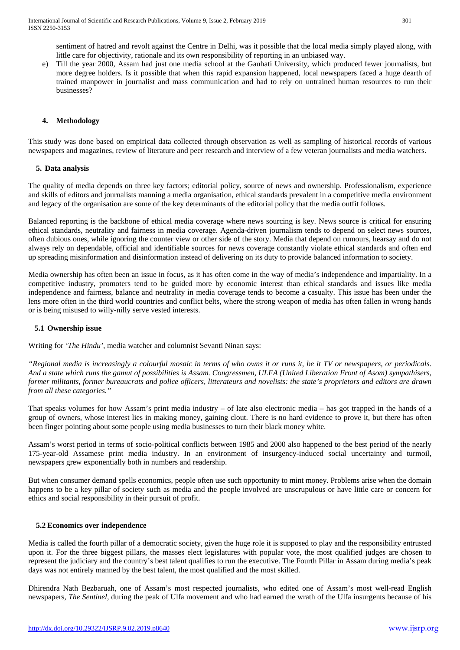sentiment of hatred and revolt against the Centre in Delhi, was it possible that the local media simply played along, with little care for objectivity, rationale and its own responsibility of reporting in an unbiased way.

e) Till the year 2000, Assam had just one media school at the Gauhati University, which produced fewer journalists, but more degree holders. Is it possible that when this rapid expansion happened, local newspapers faced a huge dearth of trained manpower in journalist and mass communication and had to rely on untrained human resources to run their businesses?

### **4. Methodology**

This study was done based on empirical data collected through observation as well as sampling of historical records of various newspapers and magazines, review of literature and peer research and interview of a few veteran journalists and media watchers.

#### **5. Data analysis**

The quality of media depends on three key factors; editorial policy, source of news and ownership. Professionalism, experience and skills of editors and journalists manning a media organisation, ethical standards prevalent in a competitive media environment and legacy of the organisation are some of the key determinants of the editorial policy that the media outfit follows.

Balanced reporting is the backbone of ethical media coverage where news sourcing is key. News source is critical for ensuring ethical standards, neutrality and fairness in media coverage. Agenda-driven journalism tends to depend on select news sources, often dubious ones, while ignoring the counter view or other side of the story. Media that depend on rumours, hearsay and do not always rely on dependable, official and identifiable sources for news coverage constantly violate ethical standards and often end up spreading misinformation and disinformation instead of delivering on its duty to provide balanced information to society.

Media ownership has often been an issue in focus, as it has often come in the way of media's independence and impartiality. In a competitive industry, promoters tend to be guided more by economic interest than ethical standards and issues like media independence and fairness, balance and neutrality in media coverage tends to become a casualty. This issue has been under the lens more often in the third world countries and conflict belts, where the strong weapon of media has often fallen in wrong hands or is being misused to willy-nilly serve vested interests.

#### **5.1 Ownership issue**

Writing for *'The Hindu'*, media watcher and columnist Sevanti Ninan says:

*"Regional media is increasingly a colourful mosaic in terms of who owns it or runs it, be it TV or newspapers, or periodicals. And a state which runs the gamut of possibilities is Assam. Congressmen, ULFA (United Liberation Front of Asom) sympathisers, former militants, former bureaucrats and police officers, litterateurs and novelists: the state's proprietors and editors are drawn from all these categories."* 

That speaks volumes for how Assam's print media industry – of late also electronic media – has got trapped in the hands of a group of owners, whose interest lies in making money, gaining clout. There is no hard evidence to prove it, but there has often been finger pointing about some people using media businesses to turn their black money white.

Assam's worst period in terms of socio-political conflicts between 1985 and 2000 also happened to the best period of the nearly 175-year-old Assamese print media industry. In an environment of insurgency-induced social uncertainty and turmoil, newspapers grew exponentially both in numbers and readership.

But when consumer demand spells economics, people often use such opportunity to mint money. Problems arise when the domain happens to be a key pillar of society such as media and the people involved are unscrupulous or have little care or concern for ethics and social responsibility in their pursuit of profit.

#### **5.2 Economics over independence**

Media is called the fourth pillar of a democratic society, given the huge role it is supposed to play and the responsibility entrusted upon it. For the three biggest pillars, the masses elect legislatures with popular vote, the most qualified judges are chosen to represent the judiciary and the country's best talent qualifies to run the executive. The Fourth Pillar in Assam during media's peak days was not entirely manned by the best talent, the most qualified and the most skilled.

Dhirendra Nath Bezbaruah, one of Assam's most respected journalists, who edited one of Assam's most well-read English newspapers, *The Sentinel,* during the peak of Ulfa movement and who had earned the wrath of the Ulfa insurgents because of his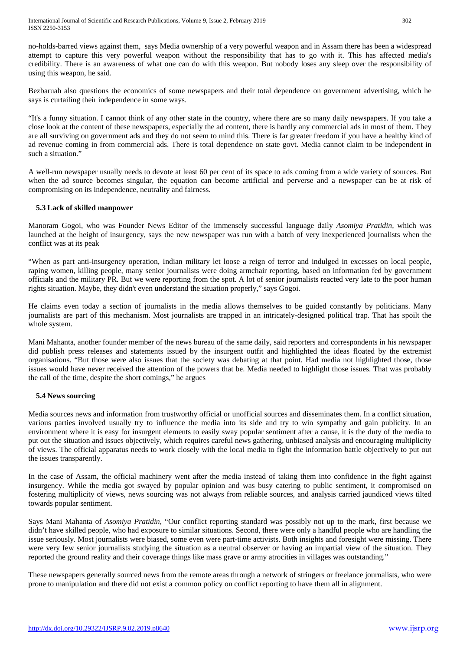no-holds-barred views against them, says Media ownership of a very powerful weapon and in Assam there has been a widespread attempt to capture this very powerful weapon without the responsibility that has to go with it. This has affected media's credibility. There is an awareness of what one can do with this weapon. But nobody loses any sleep over the responsibility of using this weapon, he said.

Bezbaruah also questions the economics of some newspapers and their total dependence on government advertising, which he says is curtailing their independence in some ways.

"It's a funny situation. I cannot think of any other state in the country, where there are so many daily newspapers. If you take a close look at the content of these newspapers, especially the ad content, there is hardly any commercial ads in most of them. They are all surviving on government ads and they do not seem to mind this. There is far greater freedom if you have a healthy kind of ad revenue coming in from commercial ads. There is total dependence on state govt. Media cannot claim to be independent in such a situation."

A well-run newspaper usually needs to devote at least 60 per cent of its space to ads coming from a wide variety of sources. But when the ad source becomes singular, the equation can become artificial and perverse and a newspaper can be at risk of compromising on its independence, neutrality and fairness.

#### **5.3 Lack of skilled manpower**

Manoram Gogoi, who was Founder News Editor of the immensely successful language daily *Asomiya Pratidin,* which was launched at the height of insurgency, says the new newspaper was run with a batch of very inexperienced journalists when the conflict was at its peak

"When as part anti-insurgency operation, Indian military let loose a reign of terror and indulged in excesses on local people, raping women, killing people, many senior journalists were doing armchair reporting, based on information fed by government officials and the military PR. But we were reporting from the spot. A lot of senior journalists reacted very late to the poor human rights situation. Maybe, they didn't even understand the situation properly," says Gogoi.

He claims even today a section of journalists in the media allows themselves to be guided constantly by politicians. Many journalists are part of this mechanism. Most journalists are trapped in an intricately-designed political trap. That has spoilt the whole system.

Mani Mahanta, another founder member of the news bureau of the same daily, said reporters and correspondents in his newspaper did publish press releases and statements issued by the insurgent outfit and highlighted the ideas floated by the extremist organisations. "But those were also issues that the society was debating at that point. Had media not highlighted those, those issues would have never received the attention of the powers that be. Media needed to highlight those issues. That was probably the call of the time, despite the short comings," he argues

#### **5.4 News sourcing**

Media sources news and information from trustworthy official or unofficial sources and disseminates them. In a conflict situation, various parties involved usually try to influence the media into its side and try to win sympathy and gain publicity. In an environment where it is easy for insurgent elements to easily sway popular sentiment after a cause, it is the duty of the media to put out the situation and issues objectively, which requires careful news gathering, unbiased analysis and encouraging multiplicity of views. The official apparatus needs to work closely with the local media to fight the information battle objectively to put out the issues transparently.

In the case of Assam, the official machinery went after the media instead of taking them into confidence in the fight against insurgency. While the media got swayed by popular opinion and was busy catering to public sentiment, it compromised on fostering multiplicity of views, news sourcing was not always from reliable sources, and analysis carried jaundiced views tilted towards popular sentiment.

Says Mani Mahanta of *Asomiya Pratidin*, "Our conflict reporting standard was possibly not up to the mark, first because we didn't have skilled people, who had exposure to similar situations. Second, there were only a handful people who are handling the issue seriously. Most journalists were biased, some even were part-time activists. Both insights and foresight were missing. There were very few senior journalists studying the situation as a neutral observer or having an impartial view of the situation. They reported the ground reality and their coverage things like mass grave or army atrocities in villages was outstanding."

These newspapers generally sourced news from the remote areas through a network of stringers or freelance journalists, who were prone to manipulation and there did not exist a common policy on conflict reporting to have them all in alignment.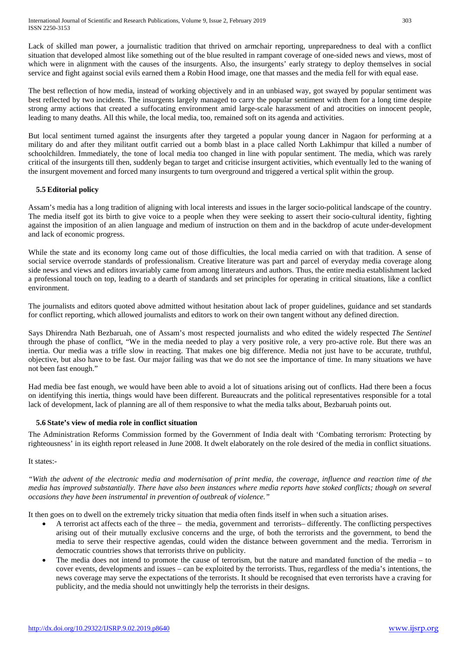Lack of skilled man power, a journalistic tradition that thrived on armchair reporting, unpreparedness to deal with a conflict situation that developed almost like something out of the blue resulted in rampant coverage of one-sided news and views, most of which were in alignment with the causes of the insurgents. Also, the insurgents' early strategy to deploy themselves in social service and fight against social evils earned them a Robin Hood image, one that masses and the media fell for with equal ease.

The best reflection of how media, instead of working objectively and in an unbiased way, got swayed by popular sentiment was best reflected by two incidents. The insurgents largely managed to carry the popular sentiment with them for a long time despite strong army actions that created a suffocating environment amid large-scale harassment of and atrocities on innocent people, leading to many deaths. All this while, the local media, too, remained soft on its agenda and activities.

But local sentiment turned against the insurgents after they targeted a popular young dancer in Nagaon for performing at a military do and after they militant outfit carried out a bomb blast in a place called North Lakhimpur that killed a number of schoolchildren. Immediately, the tone of local media too changed in line with popular sentiment. The media, which was rarely critical of the insurgents till then, suddenly began to target and criticise insurgent activities, which eventually led to the waning of the insurgent movement and forced many insurgents to turn overground and triggered a vertical split within the group.

## **5.5 Editorial policy**

Assam's media has a long tradition of aligning with local interests and issues in the larger socio-political landscape of the country. The media itself got its birth to give voice to a people when they were seeking to assert their socio-cultural identity, fighting against the imposition of an alien language and medium of instruction on them and in the backdrop of acute under-development and lack of economic progress.

While the state and its economy long came out of those difficulties, the local media carried on with that tradition. A sense of social service overrode standards of professionalism. Creative literature was part and parcel of everyday media coverage along side news and views and editors invariably came from among litterateurs and authors. Thus, the entire media establishment lacked a professional touch on top, leading to a dearth of standards and set principles for operating in critical situations, like a conflict environment.

The journalists and editors quoted above admitted without hesitation about lack of proper guidelines, guidance and set standards for conflict reporting, which allowed journalists and editors to work on their own tangent without any defined direction.

Says Dhirendra Nath Bezbaruah, one of Assam's most respected journalists and who edited the widely respected *The Sentinel* through the phase of conflict, "We in the media needed to play a very positive role, a very pro-active role. But there was an inertia. Our media was a trifle slow in reacting. That makes one big difference. Media not just have to be accurate, truthful, objective, but also have to be fast. Our major failing was that we do not see the importance of time. In many situations we have not been fast enough."

Had media bee fast enough, we would have been able to avoid a lot of situations arising out of conflicts. Had there been a focus on identifying this inertia, things would have been different. Bureaucrats and the political representatives responsible for a total lack of development, lack of planning are all of them responsive to what the media talks about, Bezbaruah points out.

## **5.6 State's view of media role in conflict situation**

The Administration Reforms Commission formed by the Government of India dealt with 'Combating terrorism: Protecting by righteousness' in its eighth report released in June 2008. It dwelt elaborately on the role desired of the media in conflict situations.

### It states:-

*"With the advent of the electronic media and modernisation of print media, the coverage, influence and reaction time of the media has improved substantially. There have also been instances where media reports have stoked conflicts; though on several occasions they have been instrumental in prevention of outbreak of violence."*

It then goes on to dwell on the extremely tricky situation that media often finds itself in when such a situation arises.

- A terrorist act affects each of the three the media, government and terrorists– differently. The conflicting perspectives arising out of their mutually exclusive concerns and the urge, of both the terrorists and the government, to bend the media to serve their respective agendas, could widen the distance between government and the media. Terrorism in democratic countries shows that terrorists thrive on publicity.
- The media does not intend to promote the cause of terrorism, but the nature and mandated function of the media to cover events, developments and issues – can be exploited by the terrorists. Thus, regardless of the media's intentions, the news coverage may serve the expectations of the terrorists. It should be recognised that even terrorists have a craving for publicity, and the media should not unwittingly help the terrorists in their designs.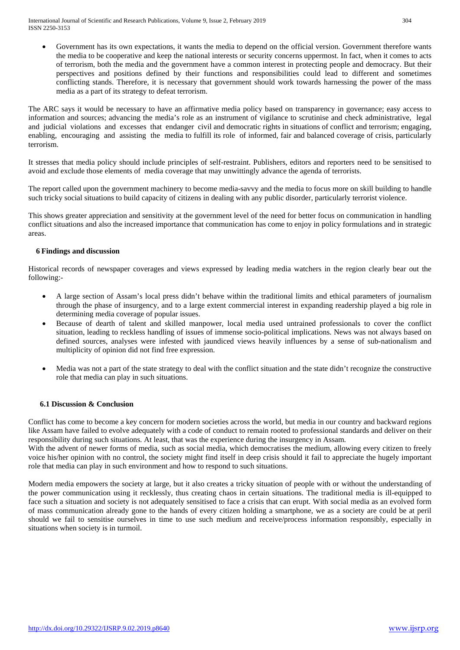International Journal of Scientific and Research Publications, Volume 9, Issue 2, February 2019 304 ISSN 2250-3153

Government has its own expectations, it wants the media to depend on the official version. Government therefore wants the media to be cooperative and keep the national interests or security concerns uppermost. In fact, when it comes to acts of terrorism, both the media and the government have a common interest in protecting people and democracy. But their perspectives and positions defined by their functions and responsibilities could lead to different and sometimes conflicting stands. Therefore, it is necessary that government should work towards harnessing the power of the mass media as a part of its strategy to defeat terrorism.

The ARC says it would be necessary to have an affirmative media policy based on transparency in governance; easy access to information and sources; advancing the media's role as an instrument of vigilance to scrutinise and check administrative, legal and judicial violations and excesses that endanger civil and democratic rights in situations of conflict and terrorism; engaging, enabling, encouraging and assisting the media to fulfill its role of informed, fair and balanced coverage of crisis, particularly terrorism.

It stresses that media policy should include principles of self-restraint. Publishers, editors and reporters need to be sensitised to avoid and exclude those elements of media coverage that may unwittingly advance the agenda of terrorists.

The report called upon the government machinery to become media-savvy and the media to focus more on skill building to handle such tricky social situations to build capacity of citizens in dealing with any public disorder, particularly terrorist violence.

This shows greater appreciation and sensitivity at the government level of the need for better focus on communication in handling conflict situations and also the increased importance that communication has come to enjoy in policy formulations and in strategic areas.

#### **6 Findings and discussion**

Historical records of newspaper coverages and views expressed by leading media watchers in the region clearly bear out the following:-

- A large section of Assam's local press didn't behave within the traditional limits and ethical parameters of journalism through the phase of insurgency, and to a large extent commercial interest in expanding readership played a big role in determining media coverage of popular issues.
- Because of dearth of talent and skilled manpower, local media used untrained professionals to cover the conflict situation, leading to reckless handling of issues of immense socio-political implications. News was not always based on defined sources, analyses were infested with jaundiced views heavily influences by a sense of sub-nationalism and multiplicity of opinion did not find free expression.
- Media was not a part of the state strategy to deal with the conflict situation and the state didn't recognize the constructive role that media can play in such situations.

#### **6.1 Discussion & Conclusion**

Conflict has come to become a key concern for modern societies across the world, but media in our country and backward regions like Assam have failed to evolve adequately with a code of conduct to remain rooted to professional standards and deliver on their responsibility during such situations. At least, that was the experience during the insurgency in Assam.

With the advent of newer forms of media, such as social media, which democratises the medium, allowing every citizen to freely voice his/her opinion with no control, the society might find itself in deep crisis should it fail to appreciate the hugely important role that media can play in such environment and how to respond to such situations.

Modern media empowers the society at large, but it also creates a tricky situation of people with or without the understanding of the power communication using it recklessly, thus creating chaos in certain situations. The traditional media is ill-equipped to face such a situation and society is not adequately sensitised to face a crisis that can erupt. With social media as an evolved form of mass communication already gone to the hands of every citizen holding a smartphone, we as a society are could be at peril should we fail to sensitise ourselves in time to use such medium and receive/process information responsibly, especially in situations when society is in turmoil.